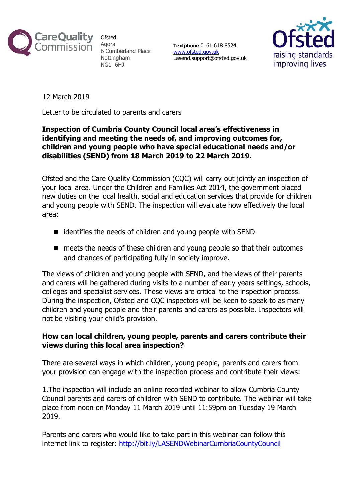

**Ofsted** Agora 6 Cumberland Place Nottingham NG1 6HJ

Textphone 0161 618 8524 www.ofsted.gov.uk Lasend.support@ofsted.gov.uk



12 March 2019

Letter to be circulated to parents and carers

## Inspection of Cumbria County Council local area's effectiveness in identifying and meeting the needs of, and improving outcomes for, children and young people who have special educational needs and/or disabilities (SEND) from 18 March 2019 to 22 March 2019.

Ofsted and the Care Quality Commission (CQC) will carry out jointly an inspection of your local area. Under the Children and Families Act 2014, the government placed new duties on the local health, social and education services that provide for children and young people with SEND. The inspection will evaluate how effectively the local area:

- $\blacksquare$  identifies the needs of children and young people with SEND
- meets the needs of these children and young people so that their outcomes and chances of participating fully in society improve.

The views of children and young people with SEND, and the views of their parents and carers will be gathered during visits to a number of early years settings, schools, colleges and specialist services. These views are critical to the inspection process. During the inspection, Ofsted and CQC inspectors will be keen to speak to as many children and young people and their parents and carers as possible. Inspectors will not be visiting your child's provision.

## How can local children, young people, parents and carers contribute their views during this local area inspection?

There are several ways in which children, young people, parents and carers from your provision can engage with the inspection process and contribute their views:

1.The inspection will include an online recorded webinar to allow Cumbria County Council parents and carers of children with SEND to contribute. The webinar will take place from noon on Monday 11 March 2019 until 11:59pm on Tuesday 19 March 2019.

Parents and carers who would like to take part in this webinar can follow this internet link to register: http://bit.ly/LASENDWebinarCumbriaCountyCouncil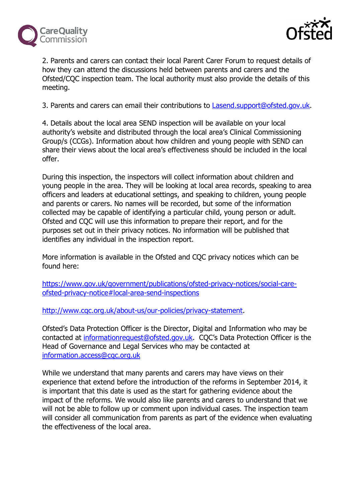



2. Parents and carers can contact their local Parent Carer Forum to request details of how they can attend the discussions held between parents and carers and the Ofsted/CQC inspection team. The local authority must also provide the details of this meeting.

3. Parents and carers can email their contributions to Lasend.support@ofsted.gov.uk.

4. Details about the local area SEND inspection will be available on your local authority's website and distributed through the local area's Clinical Commissioning Group/s (CCGs). Information about how children and young people with SEND can share their views about the local area's effectiveness should be included in the local offer.

During this inspection, the inspectors will collect information about children and young people in the area. They will be looking at local area records, speaking to area officers and leaders at educational settings, and speaking to children, young people and parents or carers. No names will be recorded, but some of the information collected may be capable of identifying a particular child, young person or adult. Ofsted and CQC will use this information to prepare their report, and for the purposes set out in their privacy notices. No information will be published that identifies any individual in the inspection report.

More information is available in the Ofsted and CQC privacy notices which can be found here:

https://www.gov.uk/government/publications/ofsted-privacy-notices/social-careofsted-privacy-notice#local-area-send-inspections

http://www.cqc.org.uk/about-us/our-policies/privacy-statement.

Ofsted's Data Protection Officer is the Director, Digital and Information who may be contacted at informationrequest@ofsted.gov.uk. CQC's Data Protection Officer is the Head of Governance and Legal Services who may be contacted at information.access@cqc.org.uk

While we understand that many parents and carers may have views on their experience that extend before the introduction of the reforms in September 2014, it is important that this date is used as the start for gathering evidence about the impact of the reforms. We would also like parents and carers to understand that we will not be able to follow up or comment upon individual cases. The inspection team will consider all communication from parents as part of the evidence when evaluating the effectiveness of the local area.